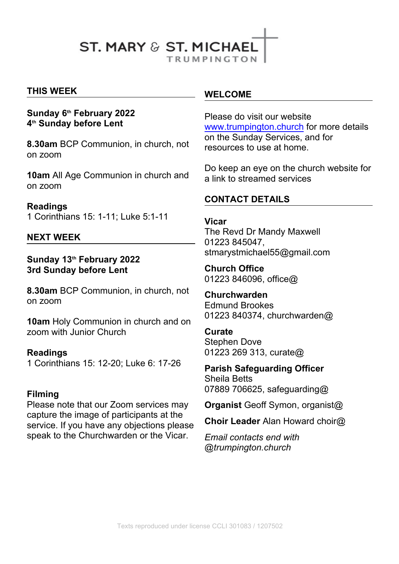# **ST. MARY & ST. MICHAEL**

**TRUMPINGTON** 

## **THIS WEEK**

#### **Sunday 6th February 2022 4 th Sunday before Lent**

**8.30am** BCP Communion, in church, not on zoom

**10am** All Age Communion in church and on zoom

## **Readings**

1 Corinthians 15: 1-11; Luke 5:1-11

#### **NEXT WEEK**

**Sunday 13th February 2022 3rd Sunday before Lent** 

**8.30am** BCP Communion, in church, not on zoom

**10am** Holy Communion in church and on zoom with Junior Church

#### **Readings**

1 Corinthians 15: 12-20; Luke 6: 17-26

#### **Filming**

Please note that our Zoom services may capture the image of participants at the service. If you have any objections please speak to the Churchwarden or the Vicar.

#### **WELCOME**

Please do visit our website [www.trumpington.church](http://www.trumpington.church) for more details on the Sunday Services, and for resources to use at home.

Do keep an eye on the church website for a link to streamed services

# **CONTACT DETAILS**

#### **Vicar**

The Revd Dr Mandy Maxwell 01223 845047, stmarystmichael55@gmail.com

**Church Office**  01223 846096, office@

**Churchwarden** Edmund Brookes 01223 840374, churchwarden@

#### **Curate**

Stephen Dove 01223 269 313, curate@

**Parish Safeguarding Officer**

Sheila Betts 07889 706625, safeguarding@

**Organist** Geoff Symon, organist@

**Choir Leader** Alan Howard choir@

*Email contacts end with @trumpington.church*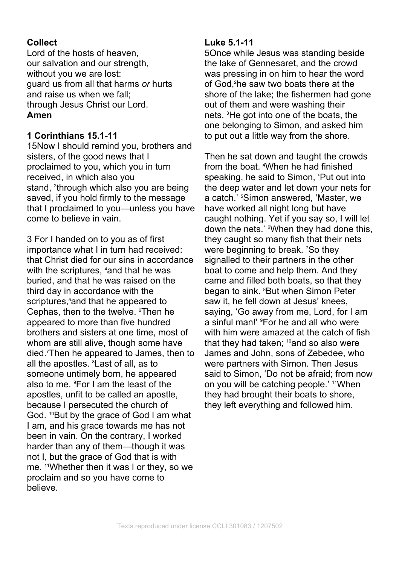# **Collect**

Lord of the hosts of heaven, our salvation and our strength, without you we are lost: guard us from all that harms *or* hurts and raise us when we fall; through Jesus Christ our Lord. **Amen**

## **1 Corinthians 15.1-11**

15Now I should remind you, brothers and sisters, of the good news that I proclaimed to you, which you in turn received, in which also you stand, <sup>2</sup>through which also you are being the deep saved, if you hold firmly to the message that I proclaimed to you—unless you have come to believe in vain.

3 For I handed on to you as of first importance what I in turn had received: that Christ died for our sins in accordance with the scriptures, <sup>4</sup>and that he was buried, and that he was raised on the third day in accordance with the scriptures,<sup>5</sup> and that he appeared to Cephas, then to the twelve. <sup>6</sup>Then he appeared to more than five hundred brothers and sisters at one time, most of whom are still alive, though some have died.7Then he appeared to James, then to all the apostles. <sup>8</sup> Last of all, as to someone untimely born, he appeared also to me. 9For I am the least of the apostles, unfit to be called an apostle, because I persecuted the church of God. <sup>10</sup>But by the grace of God I am what I am, and his grace towards me has not been in vain. On the contrary, I worked harder than any of them—though it was not I, but the grace of God that is with me. 11Whether then it was I or they, so we proclaim and so you have come to believe.

## **Luke 5.1-11**

5Once while Jesus was standing beside the lake of Gennesaret, and the crowd was pressing in on him to hear the word of God,<sup>2</sup>he saw two boats there at the shore of the lake; the fishermen had gone out of them and were washing their nets. 3He got into one of the boats, the one belonging to Simon, and asked him to put out a little way from the shore.

Then he sat down and taught the crowds from the boat. <sup>4</sup>When he had finished. speaking, he said to Simon, 'Put out into the deep water and let down your nets for a catch.' 5Simon answered, 'Master, we have worked all night long but have caught nothing. Yet if you say so, I will let down the nets.' <sup>6</sup>When they had done this, they caught so many fish that their nets were beginning to break. <sup>7</sup>So they signalled to their partners in the other boat to come and help them. And they came and filled both boats, so that they began to sink. <sup>8</sup>But when Simon Peter saw it, he fell down at Jesus' knees, saying, 'Go away from me, Lord, for I am a sinful man!' 9For he and all who were with him were amazed at the catch of fish that they had taken;  $10$ and so also were James and John, sons of Zebedee, who were partners with Simon. Then Jesus said to Simon, 'Do not be afraid; from now on you will be catching people.' 11When they had brought their boats to shore, they left everything and followed him.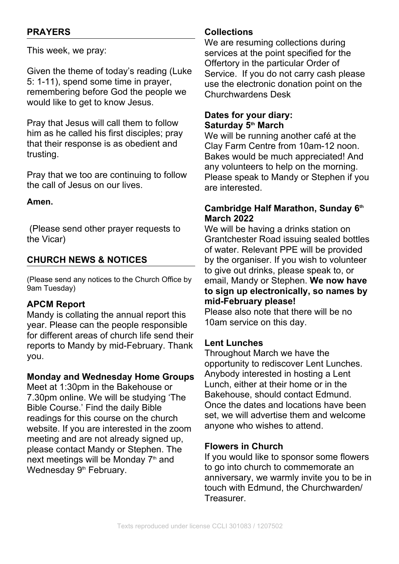# **PRAYERS**

This week, we pray:

Given the theme of today's reading (Luke 5: 1-11), spend some time in prayer, remembering before God the people we would like to get to know Jesus.

Pray that Jesus will call them to follow him as he called his first disciples; pray that their response is as obedient and trusting.

Pray that we too are continuing to follow the call of Jesus on our lives.

#### **Amen.**

 (Please send other prayer requests to the Vicar)

# **CHURCH NEWS & NOTICES**

(Please send any notices to the Church Office by 9am Tuesday)

## **APCM Report**

Mandy is collating the annual report this year. Please can the people responsible for different areas of church life send their reports to Mandy by mid-February. Thank you.

#### **Monday and Wednesday Home Groups**

Meet at 1:30pm in the Bakehouse or 7.30pm online. We will be studying 'The Bible Course.' Find the daily Bible readings for this course on the church website. If you are interested in the zoom meeting and are not already signed up, please contact Mandy or Stephen. The next meetings will be Monday  $7<sup>th</sup>$  and Wednesday 9<sup>th</sup> February.

#### **Collections**

We are resuming collections during services at the point specified for the Offertory in the particular Order of Service. If you do not carry cash please use the electronic donation point on the Churchwardens Desk

## **Dates for your diary: Saturday 5th March**

We will be running another café at the Clay Farm Centre from 10am-12 noon. Bakes would be much appreciated! And any volunteers to help on the morning. Please speak to Mandy or Stephen if you are interested.

## **Cambridge Half Marathon, Sunday 6th March 2022**

We will be having a drinks station on Grantchester Road issuing sealed bottles of water. Relevant PPE will be provided by the organiser. If you wish to volunteer to give out drinks, please speak to, or email, Mandy or Stephen. **We now have to sign up electronically, so names by mid-February please!**

Please also note that there will be no 10am service on this day.

## **Lent Lunches**

Throughout March we have the opportunity to rediscover Lent Lunches. Anybody interested in hosting a Lent Lunch, either at their home or in the Bakehouse, should contact Edmund. Once the dates and locations have been set, we will advertise them and welcome anyone who wishes to attend.

#### **Flowers in Church**

If you would like to sponsor some flowers to go into church to commemorate an anniversary, we warmly invite you to be in touch with Edmund, the Churchwarden/ Treasurer.